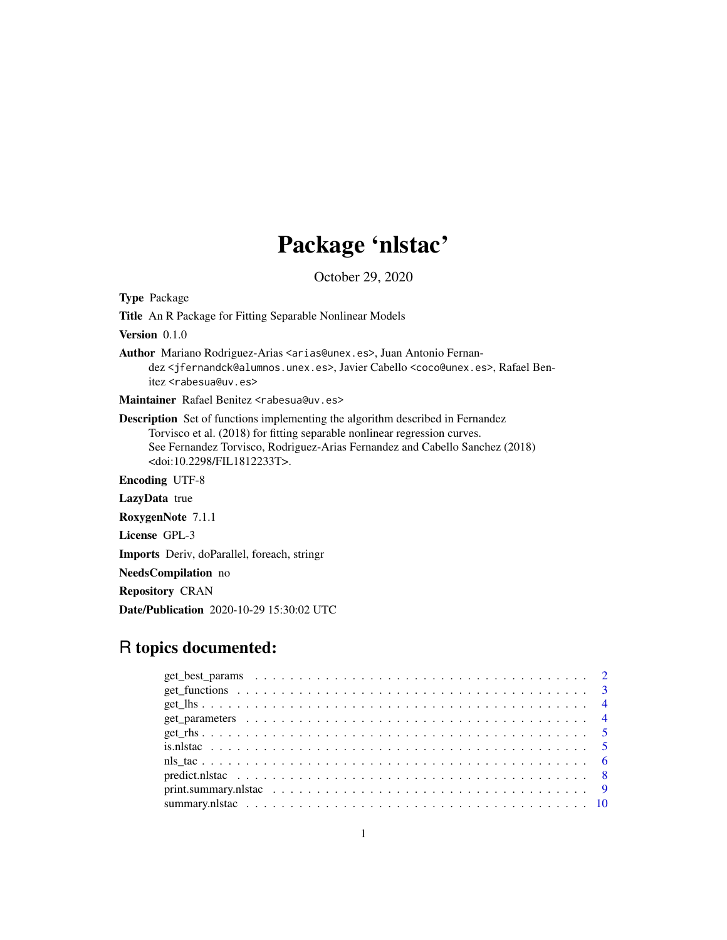## Package 'nlstac'

October 29, 2020

Type Package Title An R Package for Fitting Separable Nonlinear Models Version 0.1.0 Author Mariano Rodriguez-Arias <arias@unex.es>, Juan Antonio Fernandez <jfernandck@alumnos.unex.es>, Javier Cabello <coco@unex.es>, Rafael Benitez <rabesua@uv.es> Maintainer Rafael Benitez <rabesua@uv.es> Description Set of functions implementing the algorithm described in Fernandez Torvisco et al. (2018) for fitting separable nonlinear regression curves. See Fernandez Torvisco, Rodriguez-Arias Fernandez and Cabello Sanchez (2018) <doi:10.2298/FIL1812233T>. Encoding UTF-8 LazyData true RoxygenNote 7.1.1

License GPL-3

Imports Deriv, doParallel, foreach, stringr

NeedsCompilation no

Repository CRAN

Date/Publication 2020-10-29 15:30:02 UTC

## R topics documented: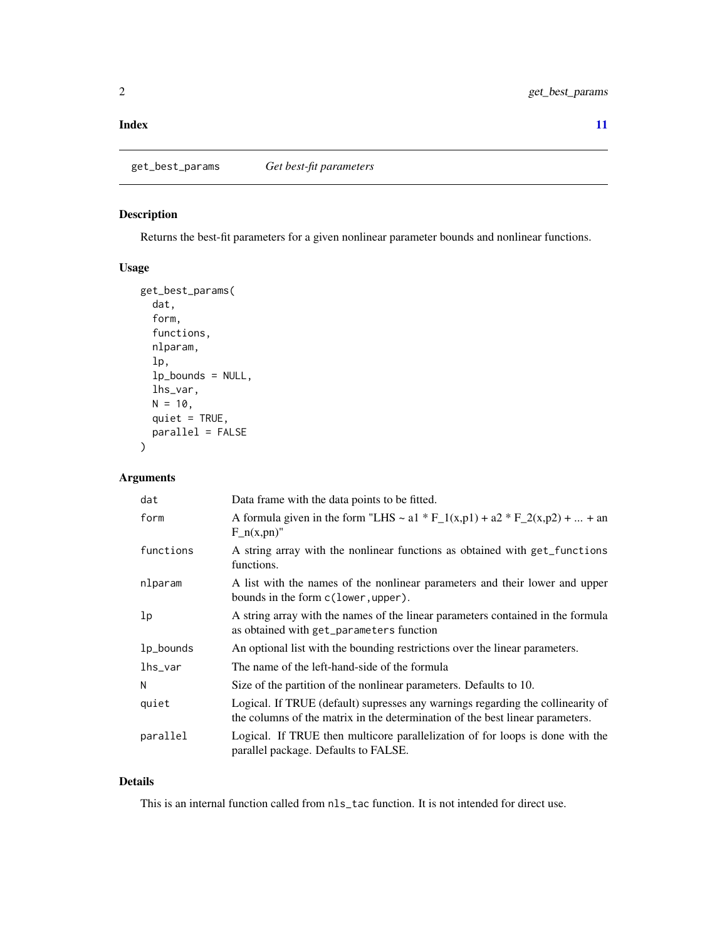#### <span id="page-1-0"></span>**Index** [11](#page-10-0)

#### Description

Returns the best-fit parameters for a given nonlinear parameter bounds and nonlinear functions.

### Usage

```
get_best_params(
  dat,
  form,
  functions,
  nlparam,
  lp,
  lp_bounds = NULL,
  lhs_var,
 N = 10,
 quiet = TRUE,
 parallel = FALSE
)
```
#### Arguments

| dat            | Data frame with the data points to be fitted.                                                                                                                    |
|----------------|------------------------------------------------------------------------------------------------------------------------------------------------------------------|
| form           | A formula given in the form "LHS ~ a1 * F_1(x,p1) + a2 * F_2(x,p2) +  + an<br>$F_n(x, pn)$ "                                                                     |
| functions      | A string array with the nonlinear functions as obtained with get_functions<br>functions.                                                                         |
| nlparam        | A list with the names of the nonlinear parameters and their lower and upper<br>bounds in the form c(lower, upper).                                               |
| 1 <sub>p</sub> | A string array with the names of the linear parameters contained in the formula<br>as obtained with get_parameters function                                      |
| 1p_bounds      | An optional list with the bounding restrictions over the linear parameters.                                                                                      |
| lhs_var        | The name of the left-hand-side of the formula                                                                                                                    |
| N              | Size of the partition of the nonlinear parameters. Defaults to 10.                                                                                               |
| quiet          | Logical. If TRUE (default) supresses any warnings regarding the collinearity of<br>the columns of the matrix in the determination of the best linear parameters. |
| parallel       | Logical. If TRUE then multicore parallelization of for loops is done with the<br>parallel package. Defaults to FALSE.                                            |

#### Details

This is an internal function called from nls\_tac function. It is not intended for direct use.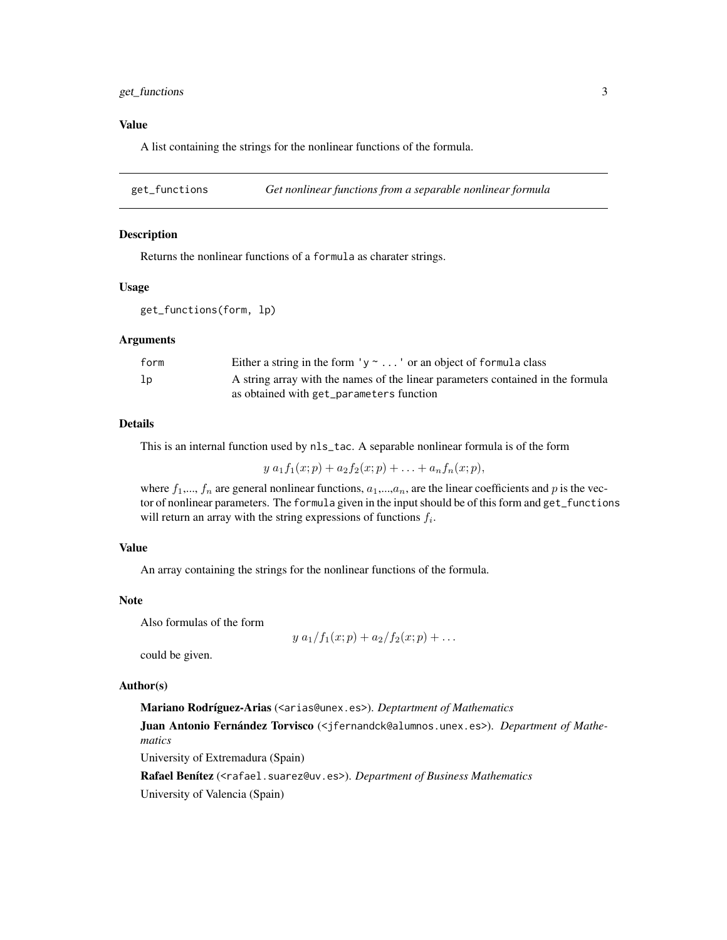#### <span id="page-2-0"></span>get\_functions 3

#### Value

A list containing the strings for the nonlinear functions of the formula.

get\_functions *Get nonlinear functions from a separable nonlinear formula*

#### Description

Returns the nonlinear functions of a formula as charater strings.

#### Usage

get\_functions(form, lp)

#### **Arguments**

| form | Either a string in the form $y \sim $ or an object of formula class             |
|------|---------------------------------------------------------------------------------|
| lp   | A string array with the names of the linear parameters contained in the formula |
|      | as obtained with get_parameters function                                        |

#### Details

This is an internal function used by nls\_tac. A separable nonlinear formula is of the form

 $y a_1 f_1(x; p) + a_2 f_2(x; p) + \ldots + a_n f_n(x; p),$ 

where  $f_1,..., f_n$  are general nonlinear functions,  $a_1,..., a_n$ , are the linear coefficients and p is the vector of nonlinear parameters. The formula given in the input should be of this form and get\_functions will return an array with the string expressions of functions  $f_i$ .

#### Value

An array containing the strings for the nonlinear functions of the formula.

#### Note

Also formulas of the form

$$
y a_1/f_1(x; p) + a_2/f_2(x; p) + ...
$$

could be given.

#### Author(s)

Mariano Rodríguez-Arias (<arias@unex.es>). *Deptartment of Mathematics*

Juan Antonio Fernández Torvisco (<jfernandck@alumnos.unex.es>). *Department of Mathematics*

University of Extremadura (Spain)

Rafael Benítez (<rafael.suarez@uv.es>). *Department of Business Mathematics* University of Valencia (Spain)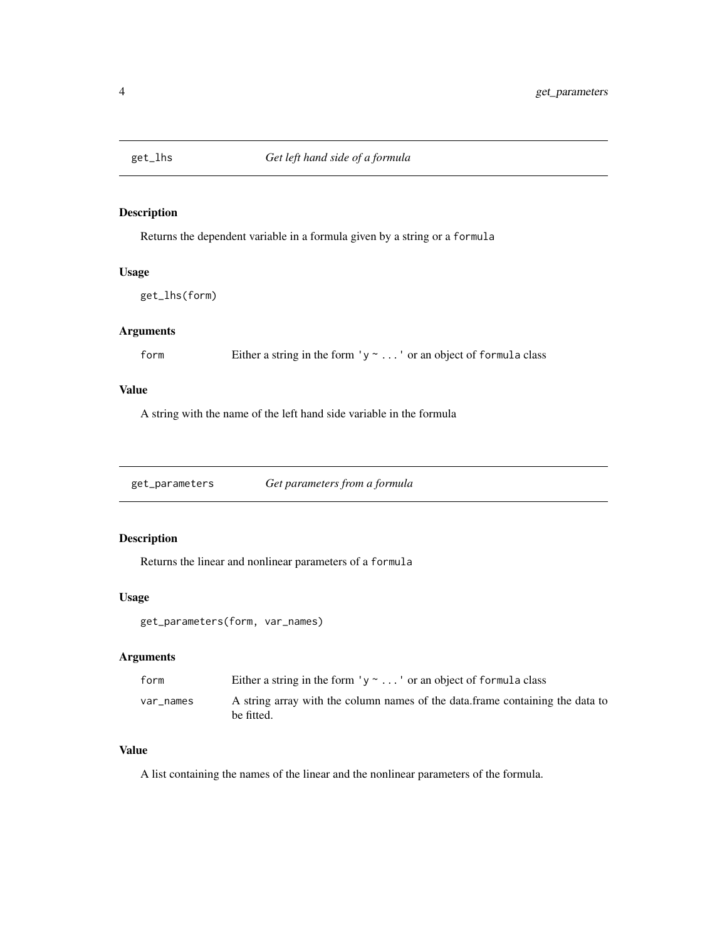<span id="page-3-0"></span>

#### Description

Returns the dependent variable in a formula given by a string or a formula

#### Usage

get\_lhs(form)

#### Arguments

form Either a string in the form  $y \sim ...$  or an object of formula class

#### Value

A string with the name of the left hand side variable in the formula

get\_parameters *Get parameters from a formula*

#### Description

Returns the linear and nonlinear parameters of a formula

#### Usage

```
get_parameters(form, var_names)
```
#### Arguments

| form      | Either a string in the form $y \sim $ or an object of formula class                         |
|-----------|---------------------------------------------------------------------------------------------|
| var names | A string array with the column names of the data frame containing the data to<br>be fitted. |

#### Value

A list containing the names of the linear and the nonlinear parameters of the formula.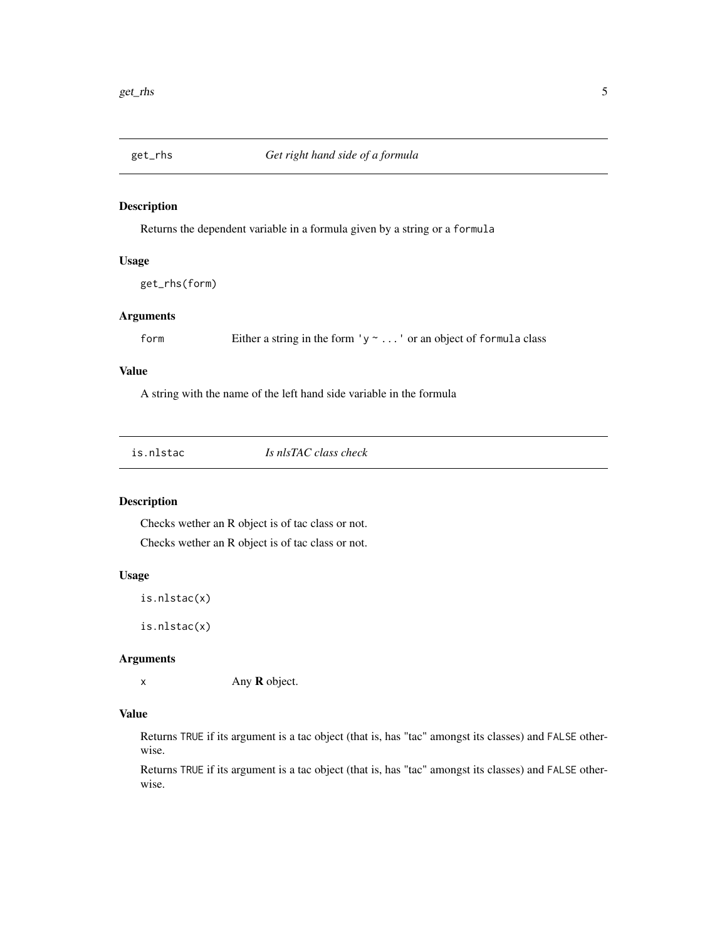<span id="page-4-0"></span>

#### Description

Returns the dependent variable in a formula given by a string or a formula

#### Usage

get\_rhs(form)

#### Arguments

form Either a string in the form 'y ~ ...' or an object of formula class

#### Value

A string with the name of the left hand side variable in the formula

| Is nlsTAC class check<br>is.nlstac |  |
|------------------------------------|--|
|------------------------------------|--|

#### Description

Checks wether an R object is of tac class or not. Checks wether an R object is of tac class or not.

#### Usage

is.nlstac(x)

is.nlstac(x)

#### Arguments

x Any R object.

#### Value

Returns TRUE if its argument is a tac object (that is, has "tac" amongst its classes) and FALSE otherwise.

Returns TRUE if its argument is a tac object (that is, has "tac" amongst its classes) and FALSE otherwise.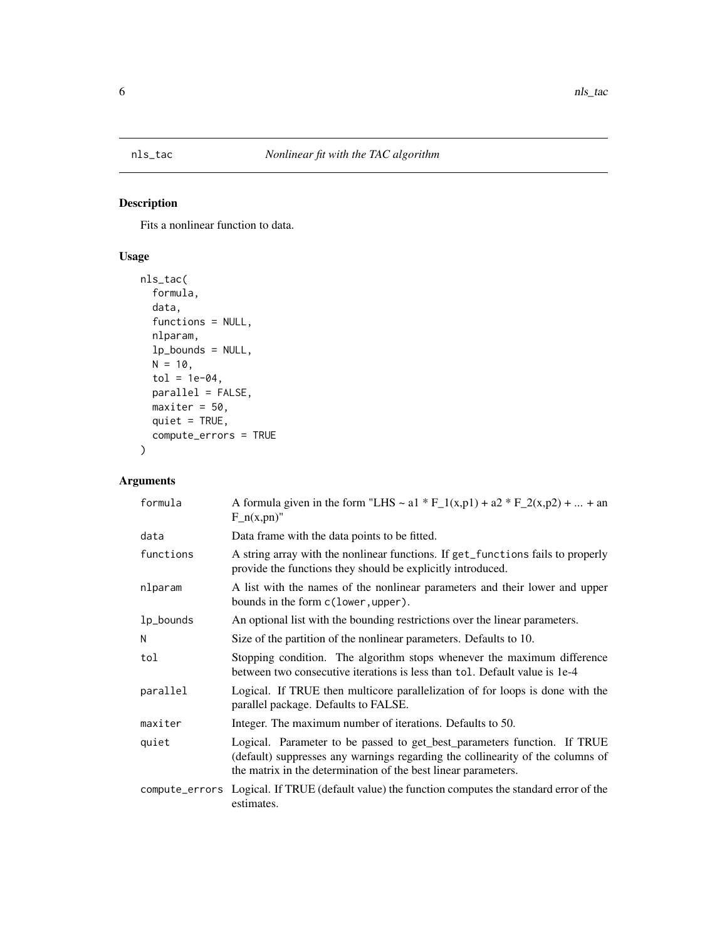### <span id="page-5-0"></span>Description

Fits a nonlinear function to data.

#### Usage

```
nls_tac(
  formula,
  data,
  functions = NULL,
 nlparam,
  lp_bounds = NULL,
 N = 10,
  tol = 1e-04,parallel = FALSE,
 maxiter = 50,
 quiet = TRUE,
  compute_errors = TRUE
)
```
#### Arguments

| formula   | A formula given in the form "LHS ~ a1 * F_1(x,p1) + a2 * F_2(x,p2) +  + an<br>$F_n(x, pn)$ "                                                                                                                                 |
|-----------|------------------------------------------------------------------------------------------------------------------------------------------------------------------------------------------------------------------------------|
| data      | Data frame with the data points to be fitted.                                                                                                                                                                                |
| functions | A string array with the nonlinear functions. If get_functions fails to properly<br>provide the functions they should be explicitly introduced.                                                                               |
| nlparam   | A list with the names of the nonlinear parameters and their lower and upper<br>bounds in the form c(lower, upper).                                                                                                           |
| 1p_bounds | An optional list with the bounding restrictions over the linear parameters.                                                                                                                                                  |
| N         | Size of the partition of the nonlinear parameters. Defaults to 10.                                                                                                                                                           |
| tol       | Stopping condition. The algorithm stops whenever the maximum difference<br>between two consecutive iterations is less than tol. Default value is 1e-4                                                                        |
| parallel  | Logical. If TRUE then multicore parallelization of for loops is done with the<br>parallel package. Defaults to FALSE.                                                                                                        |
| maxiter   | Integer. The maximum number of iterations. Defaults to 50.                                                                                                                                                                   |
| quiet     | Logical. Parameter to be passed to get_best_parameters function. If TRUE<br>(default) suppresses any warnings regarding the collinearity of the columns of<br>the matrix in the determination of the best linear parameters. |
|           | compute_errors Logical. If TRUE (default value) the function computes the standard error of the<br>estimates.                                                                                                                |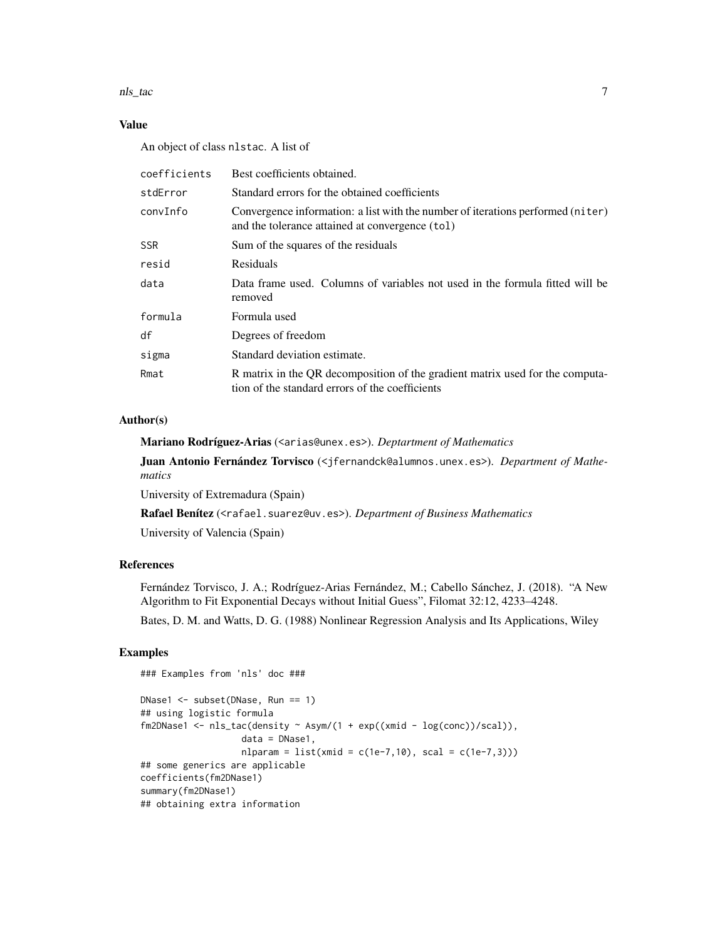#### nls\_tac 7 7

#### Value

An object of class nlstac. A list of

| coefficients | Best coefficients obtained.                                                                                                        |
|--------------|------------------------------------------------------------------------------------------------------------------------------------|
| stdError     | Standard errors for the obtained coefficients                                                                                      |
| convInfo     | Convergence information: a list with the number of iterations performed (niter)<br>and the tolerance attained at convergence (tol) |
| <b>SSR</b>   | Sum of the squares of the residuals                                                                                                |
| resid        | Residuals                                                                                                                          |
| data         | Data frame used. Columns of variables not used in the formula fitted will be<br>removed                                            |
| formula      | Formula used                                                                                                                       |
| df           | Degrees of freedom                                                                                                                 |
| sigma        | Standard deviation estimate.                                                                                                       |
| Rmat         | R matrix in the QR decomposition of the gradient matrix used for the computa-<br>tion of the standard errors of the coefficients   |

#### Author(s)

Mariano Rodríguez-Arias (<arias@unex.es>). *Deptartment of Mathematics*

Juan Antonio Fernández Torvisco (<jfernandck@alumnos.unex.es>). *Department of Mathematics*

University of Extremadura (Spain)

Rafael Benítez (<rafael.suarez@uv.es>). *Department of Business Mathematics*

University of Valencia (Spain)

#### References

Fernández Torvisco, J. A.; Rodríguez-Arias Fernández, M.; Cabello Sánchez, J. (2018). "A New Algorithm to Fit Exponential Decays without Initial Guess", Filomat 32:12, 4233–4248.

Bates, D. M. and Watts, D. G. (1988) Nonlinear Regression Analysis and Its Applications, Wiley

#### Examples

```
### Examples from 'nls' doc ###
DNase1 <- subset(DNase, Run == 1)
## using logistic formula
fn2DNase1 \leftarrow nls\_tac(density \sim Asym/(1 + exp((xmid - log(conc))/(scal)),data = DNase1,
                   n1param = list(xmid = c(1e-7,10), scal = c(1e-7,3)))
## some generics are applicable
coefficients(fm2DNase1)
summary(fm2DNase1)
## obtaining extra information
```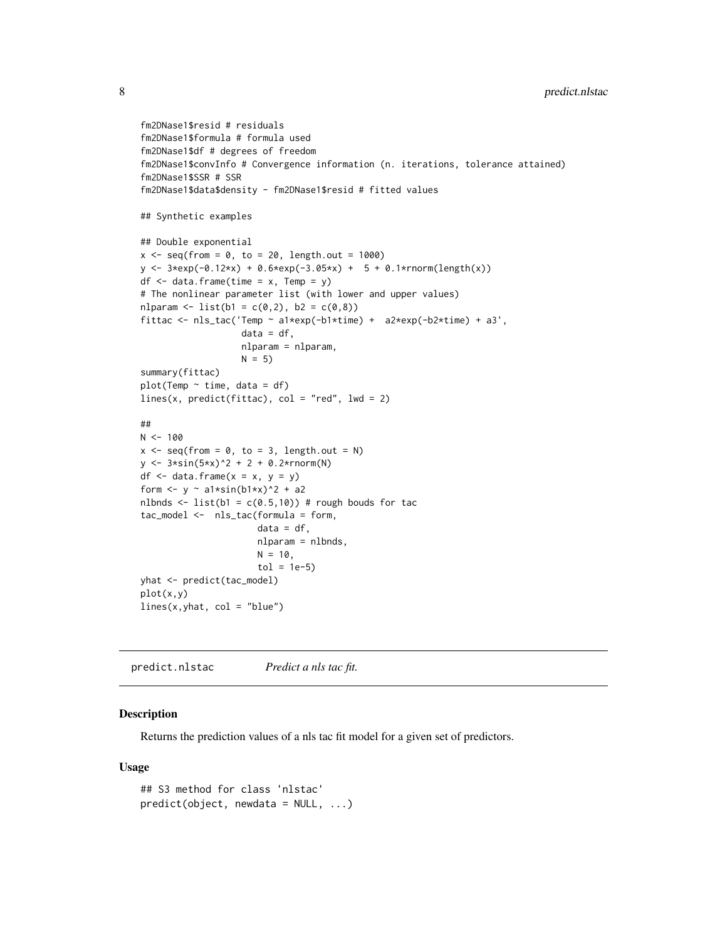```
fm2DNase1$resid # residuals
fm2DNase1$formula # formula used
fm2DNase1$df # degrees of freedom
fm2DNase1$convInfo # Convergence information (n. iterations, tolerance attained)
fm2DNase1$SSR # SSR
fm2DNase1$data$density - fm2DNase1$resid # fitted values
## Synthetic examples
## Double exponential
x \leq -\text{seq}(\text{from} = \emptyset, \text{to} = 2\emptyset, \text{length.out} = 1000)y \le -3*exp(-0.12*x) + 0.6*exp(-3.05*x) + 5 + 0.1*rnorm(length(x))df <- data.frame(time = x, Temp = y)
# The nonlinear parameter list (with lower and upper values)
nlparam <- list(b1 = c(0,2), b2 = c(0,8))
fittac <- nls_tac('Temp ~ a1*exp(-b1*time) + a2*exp(-b2*time) + a3',
                    data = df,nlparam = nlparam,
                    N = 5summary(fittac)
plot(Temp ~ time, data = df)lines(x, predict(fittac), col = "red", lwd = 2)##
N < - 100x \le - seq(from = 0, to = 3, length.out = N)
y \le -3*sin(5*x)^2 + 2 + 0.2*rnorm(N)df \leq data.frame(x = x, y = y)
form \leftarrow y \sim a1*sin(b1*x)^2 + a2
nlbnds <- list(b1 = c(0.5,10)) # rough bouds for tac
tac_model <- nls_tac(formula = form,
                       data = df,
                       nlparam = nlbnds,
                       N = 10,
                       tol = 1e-5yhat <- predict(tac_model)
plot(x,y)
lines(x, yhat, col = "blue")
```
predict.nlstac *Predict a nls tac fit.*

#### Description

Returns the prediction values of a nls tac fit model for a given set of predictors.

#### Usage

```
## S3 method for class 'nlstac'
predict(object, new data = NULL, ...)
```
<span id="page-7-0"></span>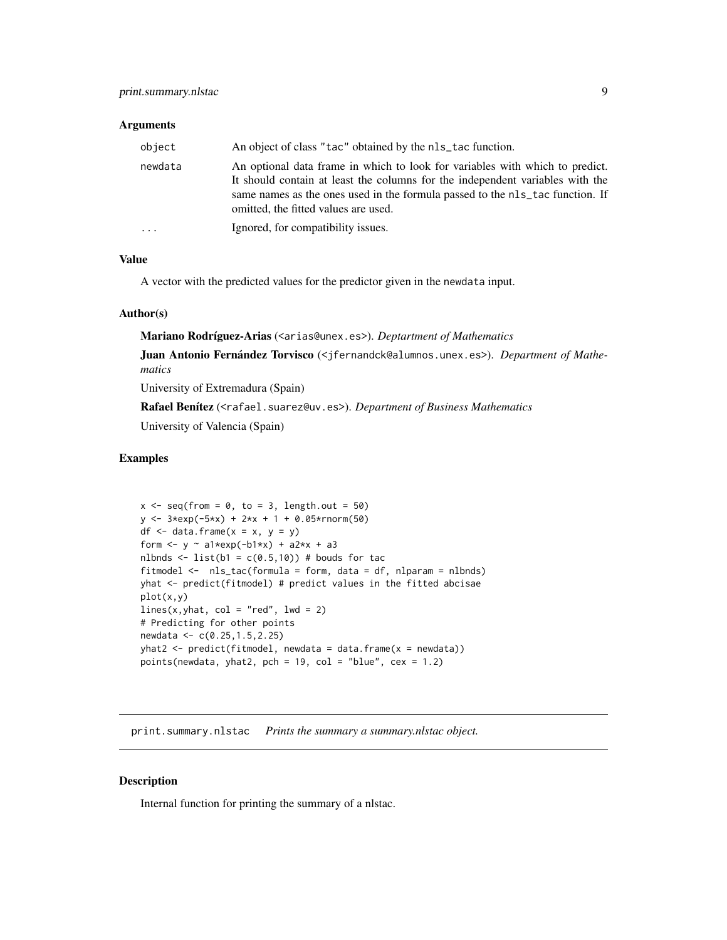#### <span id="page-8-0"></span>**Arguments**

| object   | An object of class "tac" obtained by the nls_tac function.                                                                                                                                                                                                                             |
|----------|----------------------------------------------------------------------------------------------------------------------------------------------------------------------------------------------------------------------------------------------------------------------------------------|
| newdata  | An optional data frame in which to look for variables with which to predict.<br>It should contain at least the columns for the independent variables with the<br>same names as the ones used in the formula passed to the nls_tac function. If<br>omitted, the fitted values are used. |
| $\cdots$ | Ignored, for compatibility issues.                                                                                                                                                                                                                                                     |

#### Value

A vector with the predicted values for the predictor given in the newdata input.

#### Author(s)

Mariano Rodríguez-Arias (<arias@unex.es>). *Deptartment of Mathematics*

Juan Antonio Fernández Torvisco (<jfernandck@alumnos.unex.es>). *Department of Mathematics*

University of Extremadura (Spain)

Rafael Benítez (<rafael.suarez@uv.es>). *Department of Business Mathematics*

University of Valencia (Spain)

#### Examples

```
x \le - seq(from = 0, to = 3, length.out = 50)
y \le -3*exp(-5*x) + 2*x + 1 + 0.05*rnorm(50)df \leq data.frame(x = x, y = y)
form \le y \sim a1*exp(-b1*x) + a2*x + a3
nlbnds \le list(b1 = c(0.5,10)) # bouds for tac
fitmodel <- nls_tac(formula = form, data = df, nlparam = nlbnds)
yhat <- predict(fitmodel) # predict values in the fitted abcisae
plot(x,y)
lines(x, yhat, col = "red", 1wd = 2)
# Predicting for other points
newdata <- c(0.25,1.5,2.25)
yhat2 < -</math> predict(fitmodel, newdata = data.frame(x = newdata))points(newdata, yhat2, pch = 19, col = "blue", cex = 1.2)
```
print.summary.nlstac *Prints the summary a summary.nlstac object.*

#### Description

Internal function for printing the summary of a nlstac.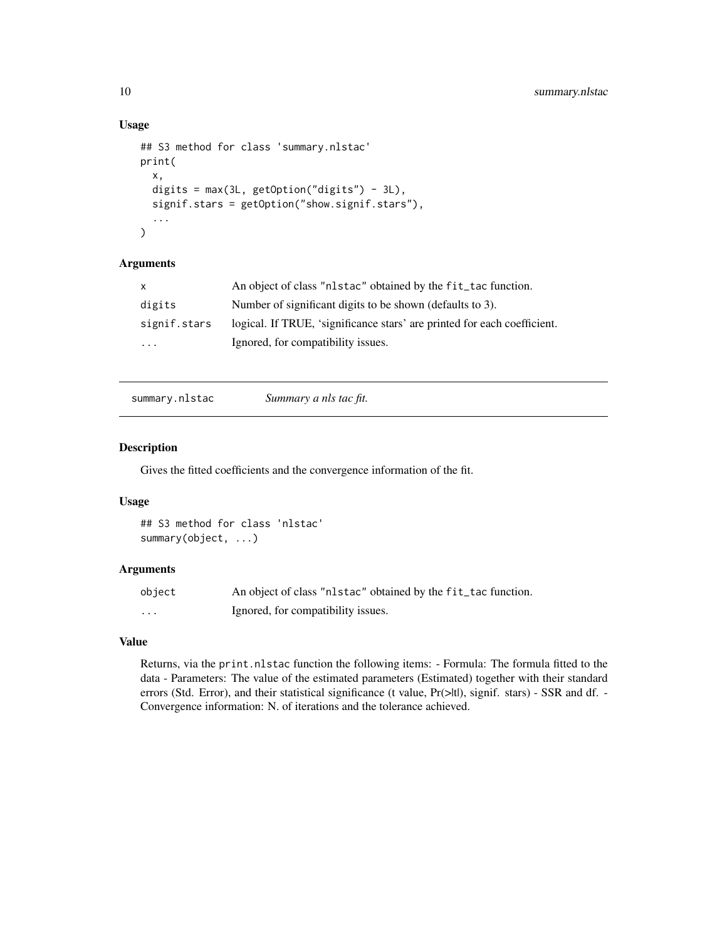#### Usage

```
## S3 method for class 'summary.nlstac'
print(
  x,
  digits = max(3L, getOption("digits") - 3L),
  signif.stars = getOption("show.signif.stars"),
  ...
)
```
#### Arguments

| $\mathsf{x}$ | An object of class "nlstac" obtained by the fit_tac function.            |
|--------------|--------------------------------------------------------------------------|
| digits       | Number of significant digits to be shown (defaults to 3).                |
| signif.stars | logical. If TRUE, 'significance stars' are printed for each coefficient. |
| $\cdots$     | Ignored, for compatibility issues.                                       |

summary.nlstac *Summary a nls tac fit.*

#### Description

Gives the fitted coefficients and the convergence information of the fit.

#### Usage

```
## S3 method for class 'nlstac'
summary(object, ...)
```
#### Arguments

| object   | An object of class "nlstac" obtained by the fit_tac function. |
|----------|---------------------------------------------------------------|
| $\cdots$ | Ignored, for compatibility issues.                            |

#### Value

Returns, via the print.nlstac function the following items: - Formula: The formula fitted to the data - Parameters: The value of the estimated parameters (Estimated) together with their standard errors (Std. Error), and their statistical significance (t value, Pr(>|t|), signif. stars) - SSR and df. -Convergence information: N. of iterations and the tolerance achieved.

<span id="page-9-0"></span>